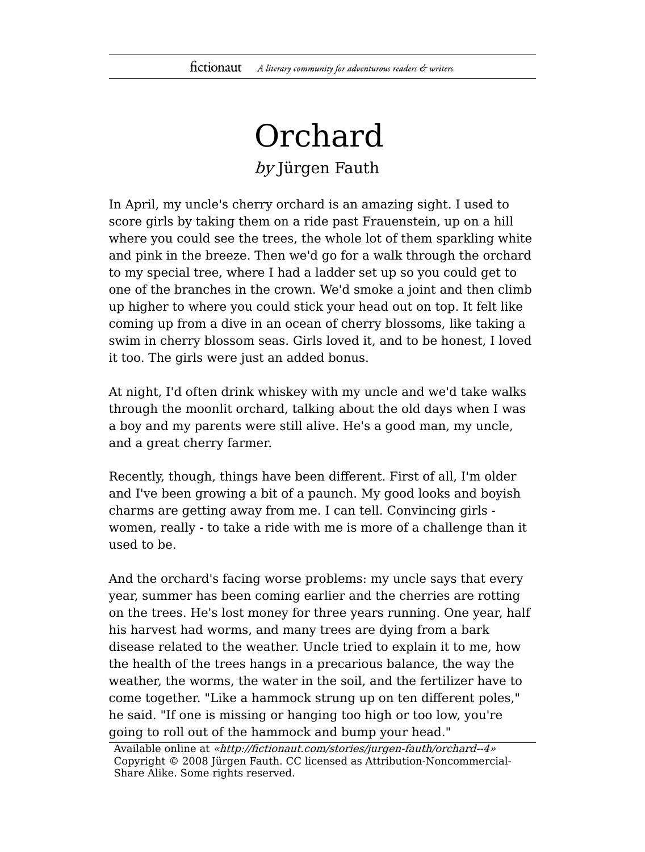## Orchard

by Jürgen Fauth

In April, my uncle's cherry orchard is an amazing sight. I used to score girls by taking them on a ride past Frauenstein, up on a hill where you could see the trees, the whole lot of them sparkling white and pink in the breeze. Then we'd go for a walk through the orchard to my special tree, where I had a ladder set up so you could get to one of the branches in the crown. We'd smoke a joint and then climb up higher to where you could stick your head out on top. It felt like coming up from a dive in an ocean of cherry blossoms, like taking a swim in cherry blossom seas. Girls loved it, and to be honest, I loved it too. The girls were just an added bonus.

At night, I'd often drink whiskey with my uncle and we'd take walks through the moonlit orchard, talking about the old days when I was a boy and my parents were still alive. He's a good man, my uncle, and a great cherry farmer.

Recently, though, things have been different. First of all, I'm older and I've been growing a bit of a paunch. My good looks and boyish charms are getting away from me. I can tell. Convincing girls women, really - to take a ride with me is more of a challenge than it used to be.

And the orchard's facing worse problems: my uncle says that every year, summer has been coming earlier and the cherries are rotting on the trees. He's lost money for three years running. One year, half his harvest had worms, and many trees are dying from a bark disease related to the weather. Uncle tried to explain it to me, how the health of the trees hangs in a precarious balance, the way the weather, the worms, the water in the soil, and the fertilizer have to come together. "Like a hammock strung up on ten different poles," he said. "If one is missing or hanging too high or too low, you're going to roll out of the hammock and bump your head."

Available online at «http://fictionaut.com/stories/jurgen-fauth/orchard--4» Copyright © 2008 Jürgen Fauth. CC licensed as Attribution-Noncommercial-Share Alike. Some rights reserved.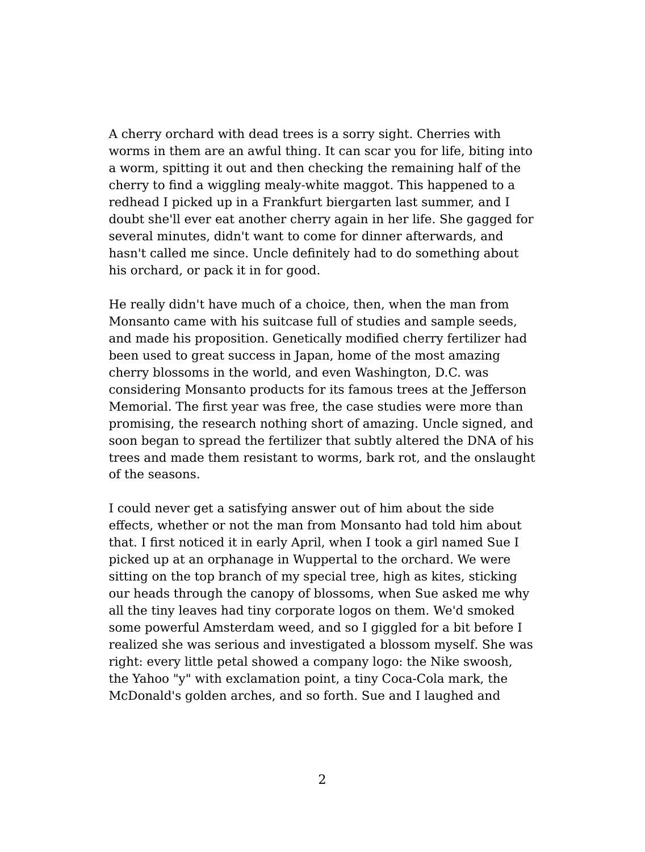A cherry orchard with dead trees is a sorry sight. Cherries with worms in them are an awful thing. It can scar you for life, biting into a worm, spitting it out and then checking the remaining half of the cherry to find a wiggling mealy-white maggot. This happened to a redhead I picked up in a Frankfurt biergarten last summer, and I doubt she'll ever eat another cherry again in her life. She gagged for several minutes, didn't want to come for dinner afterwards, and hasn't called me since. Uncle definitely had to do something about his orchard, or pack it in for good.

He really didn't have much of a choice, then, when the man from Monsanto came with his suitcase full of studies and sample seeds, and made his proposition. Genetically modified cherry fertilizer had been used to great success in Japan, home of the most amazing cherry blossoms in the world, and even Washington, D.C. was considering Monsanto products for its famous trees at the Jefferson Memorial. The first year was free, the case studies were more than promising, the research nothing short of amazing. Uncle signed, and soon began to spread the fertilizer that subtly altered the DNA of his trees and made them resistant to worms, bark rot, and the onslaught of the seasons.

I could never get a satisfying answer out of him about the side effects, whether or not the man from Monsanto had told him about that. I first noticed it in early April, when I took a girl named Sue I picked up at an orphanage in Wuppertal to the orchard. We were sitting on the top branch of my special tree, high as kites, sticking our heads through the canopy of blossoms, when Sue asked me why all the tiny leaves had tiny corporate logos on them. We'd smoked some powerful Amsterdam weed, and so I giggled for a bit before I realized she was serious and investigated a blossom myself. She was right: every little petal showed a company logo: the Nike swoosh, the Yahoo "y" with exclamation point, a tiny Coca-Cola mark, the McDonald's golden arches, and so forth. Sue and I laughed and